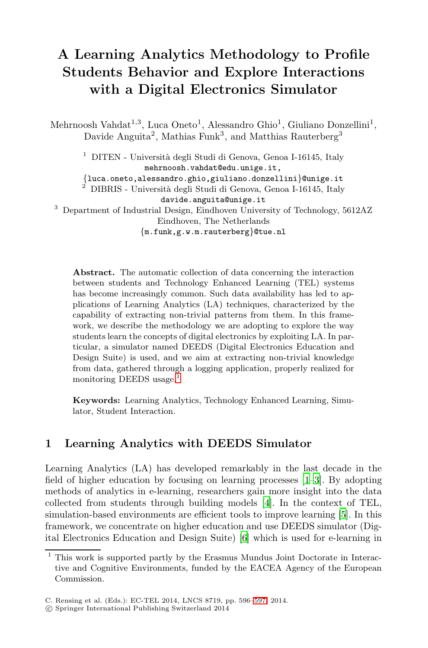## **A Learning Analytics Methodology to Profile Students Behavior and Explore Interactions with a Digital Electronics Simulator**

Mehrnoosh Vahdat<sup>1,3</sup>, Luca Oneto<sup>1</sup>, Alessandro Ghio<sup>1</sup>, Giuliano Donzellini<sup>1</sup>, Davide Anguita<sup>2</sup>, Mathias Funk<sup>3</sup>, and Matthias Rauterberg<sup>3</sup>

 $^1\,$  DITEN - Università degli Studi di Genova, Genoa I-16145, Italy mehrnoosh.vahdat@edu.unige.it,

*{*luca.oneto,alessandro.ghio,giuliano.donzellini*}*@unige.it <sup>2</sup> DIBRIS - Universit`a degli Studi di Genova, Genoa I-16145, Italy

davide.anguita@unige.it

<sup>3</sup> Department of Industrial Design, Eindhoven University of Technology, 5612AZ Eindhoven, The Netherlands

*{*m.funk,g.w.m.rauterberg*}*@tue.nl

**Abstract.** The automatic collection of data concerning the interaction between students and Technology Enhanced Learning (TEL) systems has be[co](#page-0-0)me increasingly common. Such data availability has led to applications of Learning Analytics (LA) techniques, characterized by the capability of extracting non-trivial patterns from them. In this framework, we describe the methodology we are adopting to explore the way students learn the concepts of digital electronics by exploiting LA. In particular, a simulator named DEEDS (Digital Electronics Education and Design Suite) is used, and we aim at extracting non-trivial knowledge from data, gathered through a logging application, properly realized for monitoring DEEDS usage.

<span id="page-0-0"></span>**Keywords:** Learning Analytics, Technology Enhanced Learning, Simulator, Student Interaction.

## **1 Learning Analyti[cs](#page-1-0) with DEEDS Simulator**

Learning Analytics (LA) has developed remarkably in the last decade in the field of higher education by focusing on learning processes [1–3]. By adopting methods of analytics in e-learning, researchers gain more insight into the data collected from students through building models [4]. In the context of TEL, simulation-based environments [are](#page-1-1) efficient tools to improve learning [5]. In this framework, we concentrate on higher education and use DEEDS simulator (Digital Electronics Education and Design Suite) [6] which is used for e-learning in

<sup>1</sup> This work is supported partly by the Erasmus Mundus Joint Doctorate in Interactive and Cognitive Environments, funded by the EACEA Agency of the European Commission.

C. Rensing et al. (Eds.): EC-TEL 2014, LNCS 8719, pp. 596–597, 2014.

<sup>-</sup>c Springer International Publishing Switzerland 2014